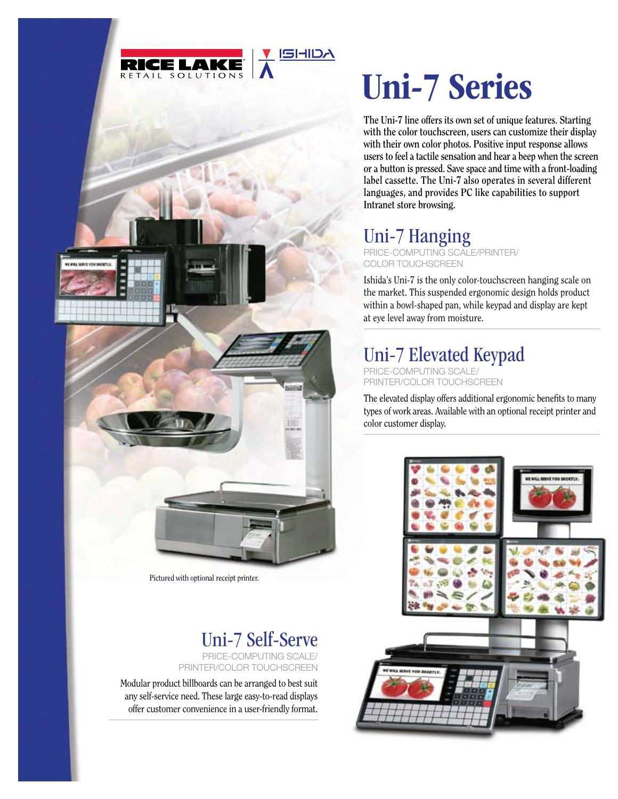

SHIDA



**The Uni-7 line offers its own set of unique features. Starting with the color touchscreen, users can customize their display with their own color photos. Positive input response allows users to feel a tactile sensation and hear a beep when the screen or a button is pressed. Save space and time with a front-loading label cassette. The Uni-7 also operates in several different languages, and provides PC like capabilities to support Intranet store browsing.**

## Uni-7 Hanging

Price-Computing Scale/Printer/ COLOR TOUCHSCREEN

Ishida's Uni-7 is the only color-touchscreen hanging scale on the market. This suspended ergonomic design holds product within a bowl-shaped pan, while keypad and display are kept at eye level away from moisture.

## Uni-7 Elevated Keypad

Price-Computing Scale/ Printer/Color Touchscreen

The elevated display offers additional ergonomic benefits to many types of work areas. Available with an optional receipt printer and color customer display.



Pictured with optional receipt printer.

## Uni-7 Self-Serve Price-Computing Scale/

Printer/Color Touchscreen

Modular product billboards can be arranged to best suit any self-service need. These large easy-to-read displays offer customer convenience in a user-friendly format.